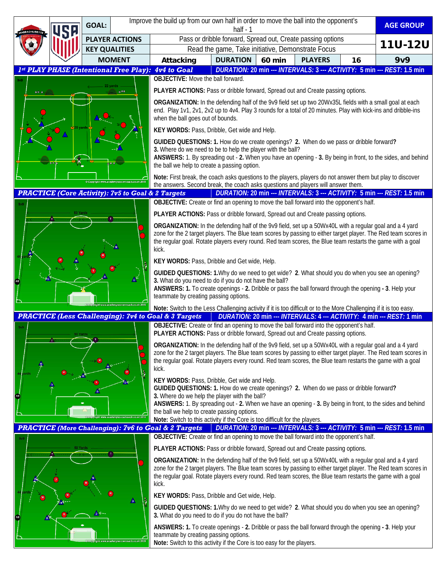|                                                                 |                        | <b>GOAL:</b>         | Improve the build up from our own half in order to move the ball into the opponent's<br>half $-1$                                                                                                                                                                                                                                                |                                                                                                                                                                                                                                                                                                                                                  |                 |               |                |    | <b>AGE GROUP</b>                                                        |
|-----------------------------------------------------------------|------------------------|----------------------|--------------------------------------------------------------------------------------------------------------------------------------------------------------------------------------------------------------------------------------------------------------------------------------------------------------------------------------------------|--------------------------------------------------------------------------------------------------------------------------------------------------------------------------------------------------------------------------------------------------------------------------------------------------------------------------------------------------|-----------------|---------------|----------------|----|-------------------------------------------------------------------------|
|                                                                 |                        |                      | <b>PLAYER ACTIONS</b>                                                                                                                                                                                                                                                                                                                            | Pass or dribble forward, Spread out, Create passing options                                                                                                                                                                                                                                                                                      |                 |               |                |    |                                                                         |
|                                                                 |                        | <b>KEY QUALITIES</b> |                                                                                                                                                                                                                                                                                                                                                  | Read the game, Take initiative, Demonstrate Focus                                                                                                                                                                                                                                                                                                |                 |               |                |    | <b>11U-12U</b>                                                          |
|                                                                 |                        | <b>MOMENT</b>        |                                                                                                                                                                                                                                                                                                                                                  | Attacking                                                                                                                                                                                                                                                                                                                                        | <b>DURATION</b> | <b>60 min</b> | <b>PLAYERS</b> | 16 | 9v9                                                                     |
| 1st PLAY PHASE (Intentional Free Play): 4v4 to Goal             |                        |                      |                                                                                                                                                                                                                                                                                                                                                  |                                                                                                                                                                                                                                                                                                                                                  |                 |               |                |    | DURATION: 20 min --- INTERVALS: 3 --- ACTIVITY: 5 min --- REST: 1.5 min |
|                                                                 |                        |                      |                                                                                                                                                                                                                                                                                                                                                  | <b>OBJECTIVE:</b> Move the ball forward.                                                                                                                                                                                                                                                                                                         |                 |               |                |    |                                                                         |
| 49.4                                                            |                        |                      |                                                                                                                                                                                                                                                                                                                                                  | PLAYER ACTIONS: Pass or dribble forward, Spread out and Create passing options.                                                                                                                                                                                                                                                                  |                 |               |                |    |                                                                         |
|                                                                 |                        |                      |                                                                                                                                                                                                                                                                                                                                                  | ORGANIZATION: In the defending half of the 9v9 field set up two 20Wx35L fields with a small goal at each<br>end. Play 1v1, 2v1, 2v2 up to 4v4. Play 3 rounds for a total of 20 minutes. Play with kick-ins and dribble-ins<br>when the ball goes out of bounds.                                                                                  |                 |               |                |    |                                                                         |
|                                                                 |                        |                      |                                                                                                                                                                                                                                                                                                                                                  | KEY WORDS: Pass, Dribble, Get wide and Help.                                                                                                                                                                                                                                                                                                     |                 |               |                |    |                                                                         |
|                                                                 |                        |                      |                                                                                                                                                                                                                                                                                                                                                  | GUIDED QUESTIONS: 1. How do we create openings? 2. When do we pass or dribble forward?<br>3. Where do we need to be to help the player with the ball?<br>ANSWERS: 1. By spreading out - 2. When you have an opening - 3. By being in front, to the sides, and behind<br>the ball we help to create a passing option.                             |                 |               |                |    |                                                                         |
| © Copyright www.academysoccercoach.co.uk 2019                   |                        |                      |                                                                                                                                                                                                                                                                                                                                                  | Note: First break, the coach asks questions to the players, players do not answer them but play to discover<br>the answers. Second break, the coach asks questions and players will answer them.                                                                                                                                                 |                 |               |                |    |                                                                         |
| <b>PRACTICE (Core Activity): 7v5 to Goal &amp; 2 Targets</b>    |                        |                      |                                                                                                                                                                                                                                                                                                                                                  |                                                                                                                                                                                                                                                                                                                                                  |                 |               |                |    | DURATION: 20 min --- INTERVALS: 3 --- ACTIVITY: 5 min --- REST: 1.5 min |
|                                                                 |                        |                      |                                                                                                                                                                                                                                                                                                                                                  | OBJECTIVE: Create or find an opening to move the ball forward into the opponent's half.                                                                                                                                                                                                                                                          |                 |               |                |    |                                                                         |
|                                                                 |                        |                      | PLAYER ACTIONS: Pass or dribble forward, Spread out and Create passing options.                                                                                                                                                                                                                                                                  |                                                                                                                                                                                                                                                                                                                                                  |                 |               |                |    |                                                                         |
|                                                                 |                        |                      | ORGANIZATION: In the defending half of the 9v9 field, set up a 50Wx40L with a regular goal and a 4 yard<br>zone for the 2 target players. The Blue team scores by passing to either target player. The Red team scores in<br>the regular goal. Rotate players every round. Red team scores, the Blue team restarts the game with a goal<br>kick. |                                                                                                                                                                                                                                                                                                                                                  |                 |               |                |    |                                                                         |
|                                                                 |                        |                      | KEY WORDS: Pass, Dribble and Get wide, Help.                                                                                                                                                                                                                                                                                                     |                                                                                                                                                                                                                                                                                                                                                  |                 |               |                |    |                                                                         |
|                                                                 |                        |                      |                                                                                                                                                                                                                                                                                                                                                  | GUIDED QUESTIONS: 1. Why do we need to get wide? 2. What should you do when you see an opening?<br>3. What do you need to do if you do not have the ball?<br>ANSWERS: 1. To create openings - 2. Dribble or pass the ball forward through the opening - 3. Help your<br>teammate by creating passing options.                                    |                 |               |                |    |                                                                         |
|                                                                 |                        |                      |                                                                                                                                                                                                                                                                                                                                                  | Note: Switch to the Less Challenging activity if it is too difficult or to the More Challenging if it is too easy.                                                                                                                                                                                                                               |                 |               |                |    |                                                                         |
| <b>PRACTICE (Less Challenging): 7v4 to Goal &amp; 3 Targets</b> |                        |                      |                                                                                                                                                                                                                                                                                                                                                  | DURATION: 20 min --- INTERVALS: 4 --- ACTIVITY: 4 min --- REST: 1 min<br>OBJECTIVE: Create or find an opening to move the ball forward into the opponent's half.                                                                                                                                                                                 |                 |               |                |    |                                                                         |
|                                                                 |                        |                      | PLAYER ACTIONS: Pass or dribble forward, Spread out and Create passing options.                                                                                                                                                                                                                                                                  |                                                                                                                                                                                                                                                                                                                                                  |                 |               |                |    |                                                                         |
|                                                                 |                        |                      | ORGANIZATION: In the defending half of the 9v9 field, set up a 50Wx40L with a regular goal and a 4 yard<br>zone for the 2 target players. The Blue team scores by passing to either target player. The Red team scores in<br>the regular goal. Rotate players every round. Red team scores, the Blue team restarts the game with a goal<br>kick. |                                                                                                                                                                                                                                                                                                                                                  |                 |               |                |    |                                                                         |
|                                                                 |                        |                      | KEY WORDS: Pass, Dribble, Get wide and Help.<br>GUIDED QUESTIONS: 1. How do we create openings? 2. When do we pass or dribble forward?<br>3. Where do we help the player with the ball?                                                                                                                                                          |                                                                                                                                                                                                                                                                                                                                                  |                 |               |                |    |                                                                         |
|                                                                 |                        |                      |                                                                                                                                                                                                                                                                                                                                                  | ANSWERS: 1. By spreading out - 2. When we have an opening - 3. By being in front, to the sides and behind<br>the ball we help to create passing options.<br>Note: Switch to this activity if the Core is too difficult for the players.                                                                                                          |                 |               |                |    |                                                                         |
|                                                                 |                        |                      |                                                                                                                                                                                                                                                                                                                                                  | DURATION: 20 min --- INTERVALS: 3 --- ACTIVITY: 5 min --- REST: 1.5 min<br><b>PRACTICE</b> (More Challenging): 7v6 to Goal & 2 Targets                                                                                                                                                                                                           |                 |               |                |    |                                                                         |
|                                                                 | $\left( \circ \right)$ |                      |                                                                                                                                                                                                                                                                                                                                                  | OBJECTIVE: Create or find an opening to move the ball forward into the opponent's half.                                                                                                                                                                                                                                                          |                 |               |                |    |                                                                         |
|                                                                 |                        |                      |                                                                                                                                                                                                                                                                                                                                                  | PLAYER ACTIONS: Pass or dribble forward, Spread out and Create passing options.                                                                                                                                                                                                                                                                  |                 |               |                |    |                                                                         |
|                                                                 |                        |                      |                                                                                                                                                                                                                                                                                                                                                  | ORGANIZATION: In the defending half of the 9v9 field, set up a 50Wx40L with a regular goal and a 4 yard<br>zone for the 2 target players. The Blue team scores by passing to either target player. The Red team scores in<br>the regular goal. Rotate players every round. Red team scores, the Blue team restarts the game with a goal<br>kick. |                 |               |                |    |                                                                         |
|                                                                 |                        |                      |                                                                                                                                                                                                                                                                                                                                                  | KEY WORDS: Pass, Dribble and Get wide, Help.                                                                                                                                                                                                                                                                                                     |                 |               |                |    |                                                                         |
| Δ                                                               |                        |                      | GUIDED QUESTIONS: 1. Why do we need to get wide? 2. What should you do when you see an opening?<br>3. What do you need to do if you do not have the ball?                                                                                                                                                                                        |                                                                                                                                                                                                                                                                                                                                                  |                 |               |                |    |                                                                         |
|                                                                 |                        |                      |                                                                                                                                                                                                                                                                                                                                                  | ANSWERS: 1. To create openings - 2. Dribble or pass the ball forward through the opening - 3. Help your<br>teammate by creating passing options.                                                                                                                                                                                                 |                 |               |                |    |                                                                         |

**Note:** Switch to this activity if the Core is too easy for the players.